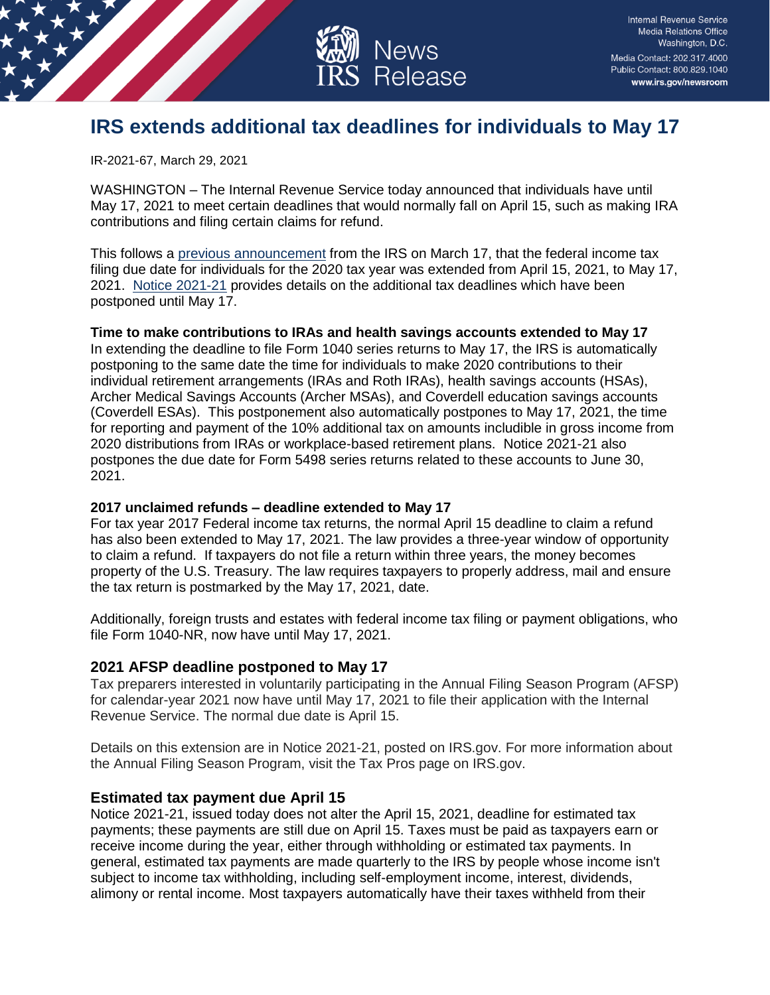

**Internal Revenue Service** Media Relations Office Washington, D.C. Media Contact: 202.317.4000 Public Contact: 800.829.1040 www.irs.gov/newsroom

# **IRS extends additional tax deadlines for individuals to May 17**

IR-2021-67, March 29, 2021

WASHINGTON – The Internal Revenue Service today announced that individuals have until May 17, 2021 to meet certain deadlines that would normally fall on April 15, such as making IRA contributions and filing certain claims for refund.

This follows a [previous announcement](https://www.irs.gov/newsroom/tax-day-for-individuals-extended-to-may-17-treasury-irs-extend-filing-and-payment-deadline) from the IRS on March 17, that the federal income tax filing due date for individuals for the 2020 tax year was extended from April 15, 2021, to May 17, 2021. [Notice 2021-21](https://www.irs.gov/pub/irs-drop/n-21-21.pdf) provides details on the additional tax deadlines which have been postponed until May 17.

### **Time to make contributions to IRAs and health savings accounts extended to May 17**

In extending the deadline to file Form 1040 series returns to May 17, the IRS is automatically postponing to the same date the time for individuals to make 2020 contributions to their individual retirement arrangements (IRAs and Roth IRAs), health savings accounts (HSAs), Archer Medical Savings Accounts (Archer MSAs), and Coverdell education savings accounts (Coverdell ESAs). This postponement also automatically postpones to May 17, 2021, the time for reporting and payment of the 10% additional tax on amounts includible in gross income from 2020 distributions from IRAs or workplace-based retirement plans. Notice 2021-21 also postpones the due date for Form 5498 series returns related to these accounts to June 30, 2021.

#### **2017 unclaimed refunds – deadline extended to May 17**

For tax year 2017 Federal income tax returns, the normal April 15 deadline to claim a refund has also been extended to May 17, 2021. The law provides a three-year window of opportunity to claim a refund. If taxpayers do not file a return within three years, the money becomes property of the U.S. Treasury. The law requires taxpayers to properly address, mail and ensure the tax return is postmarked by the May 17, 2021, date.

Additionally, foreign trusts and estates with federal income tax filing or payment obligations, who file Form 1040-NR, now have until May 17, 2021.

## **2021 AFSP deadline postponed to May 17**

Tax preparers interested in voluntarily participating in the Annual Filing Season Program (AFSP) for calendar-year 2021 now have until May 17, 2021 to file their application with the Internal Revenue Service. The normal due date is April 15.

Details on this extension are in Notice 2021-21, posted on IRS.gov. For more information about the Annual Filing Season Program, visit the Tax Pros page on IRS.gov.

## **Estimated tax payment due April 15**

Notice 2021-21, issued today does not alter the April 15, 2021, deadline for estimated tax payments; these payments are still due on April 15. Taxes must be paid as taxpayers earn or receive income during the year, either through withholding or estimated tax payments. In general, estimated tax payments are made quarterly to the IRS by people whose income isn't subject to income tax withholding, including self-employment income, interest, dividends, alimony or rental income. Most taxpayers automatically have their taxes withheld from their